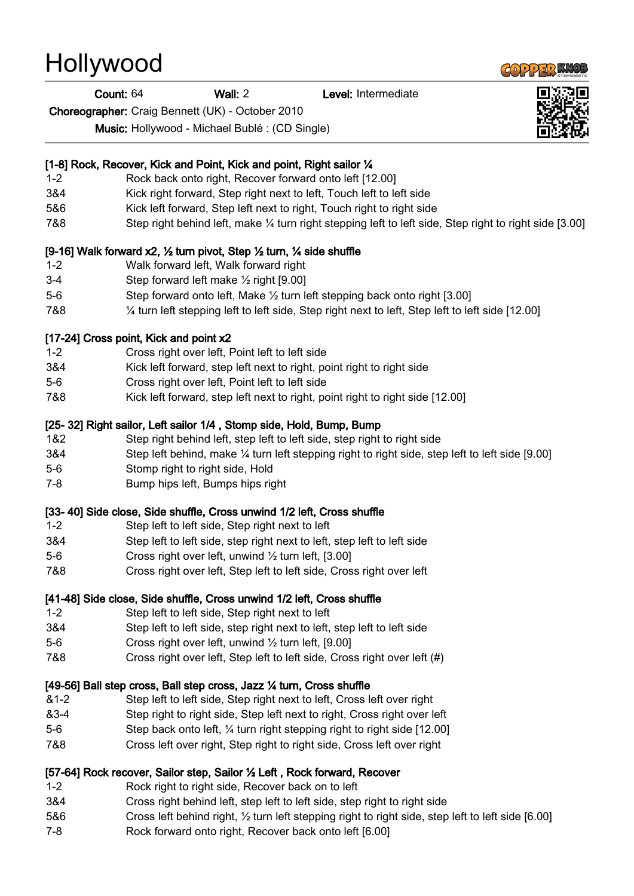# **Hollywood**

#### Count: 64 Wall: 2 Level: Intermediate

Choreographer: Craig Bennett (UK) - October 2010

Music: Hollywood - Michael Bublé : (CD Single)

## [1-8] Rock, Recover, Kick and Point, Kick and point, Right sailor 1/4

- 1-2 Rock back onto right, Recover forward onto left [12.00]
- 3&4 Kick right forward, Step right next to left, Touch left to left side
- 5&6 Kick left forward, Step left next to right, Touch right to right side
- 7&8 Step right behind left, make ¼ turn right stepping left to left side, Step right to right side [3.00]

## [9-16] Walk forward x2, ½ turn pivot, Step ½ turn, ¼ side shuffle

- 1-2 Walk forward left, Walk forward right
- 3-4 Step forward left make ½ right [9.00]
- 5-6 Step forward onto left, Make ½ turn left stepping back onto right [3.00]
- 7&8 ¼ turn left stepping left to left side, Step right next to left, Step left to left side [12.00]

#### [17-24] Cross point, Kick and point x2

- 1-2 Cross right over left, Point left to left side
- 3&4 Kick left forward, step left next to right, point right to right side
- 5-6 Cross right over left, Point left to left side
- 7&8 Kick left forward, step left next to right, point right to right side [12.00]

## [25- 32] Right sailor, Left sailor 1/4, Stomp side, Hold, Bump, Bump

- 1&2 Step right behind left, step left to left side, step right to right side
- 3&4 Step left behind, make ¼ turn left stepping right to right side, step left to left side [9.00]
- 5-6 Stomp right to right side, Hold
- 7-8 Bump hips left, Bumps hips right

#### [33- 40] Side close, Side shuffle, Cross unwind 1/2 left, Cross shuffle

- 1-2 Step left to left side, Step right next to left
- 3&4 Step left to left side, step right next to left, step left to left side
- 5-6 Cross right over left, unwind ½ turn left, [3.00]
- 7&8 Cross right over left, Step left to left side, Cross right over left

## [41-48] Side close, Side shuffle, Cross unwind 1/2 left, Cross shuffle

- 1-2 Step left to left side, Step right next to left
- 3&4 Step left to left side, step right next to left, step left to left side
- 5-6 Cross right over left, unwind ½ turn left, [9.00]
- 7&8 Cross right over left, Step left to left side, Cross right over left (#)

## [49-56] Ball step cross, Ball step cross, Jazz 1/4 turn, Cross shuffle

- &1-2 Step left to left side, Step right next to left, Cross left over right
- &3-4 Step right to right side, Step left next to right, Cross right over left
- 5-6 Step back onto left, ¼ turn right stepping right to right side [12.00]
- 7&8 Cross left over right, Step right to right side, Cross left over right

## [57-64] Rock recover, Sailor step, Sailor ½ Left , Rock forward, Recover

- 1-2 Rock right to right side, Recover back on to left
- 3&4 Cross right behind left, step left to left side, step right to right side
- 5&6 Cross left behind right, ½ turn left stepping right to right side, step left to left side [6.00]
- 7-8 Rock forward onto right, Recover back onto left [6.00]